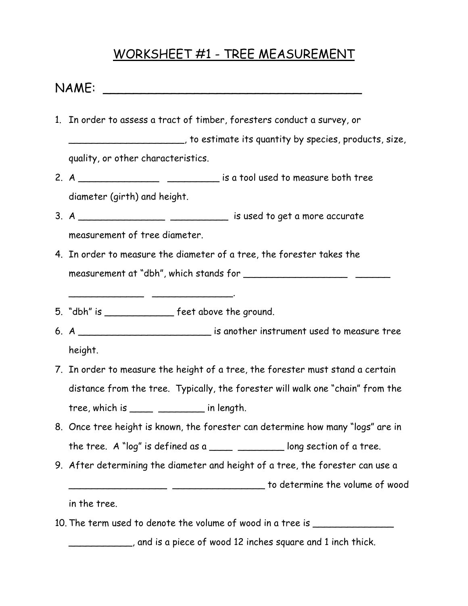### WORKSHEET #1 - TREE MEASUREMENT

### $NAME:$

- 1. In order to assess a tract of timber, foresters conduct a survey, or \_\_\_\_\_\_\_\_\_\_\_\_\_\_\_\_\_\_\_\_, to estimate its quantity by species, products, size, quality, or other characteristics.
- 2. A \_\_\_\_\_\_\_\_\_\_\_\_\_\_\_\_\_\_\_\_\_\_\_\_\_\_\_\_\_\_ is a tool used to measure both tree diameter (girth) and height.
- 3. A \_\_\_\_\_\_\_\_\_\_\_\_\_\_\_ \_\_\_\_\_\_\_\_\_\_ is used to get a more accurate measurement of tree diameter.
- 4. In order to measure the diameter of a tree, the forester takes the measurement at "dbh", which stands for \_\_\_\_\_\_\_\_\_\_\_\_\_\_\_\_\_\_ \_\_\_\_\_\_
- 5. "dbh" is example feet above the ground.

\_\_\_\_\_\_\_\_\_\_\_\_\_ \_\_\_\_\_\_\_\_\_\_\_\_\_\_.

- 6. A \_\_\_\_\_\_\_\_\_\_\_\_\_\_\_\_\_\_\_\_\_\_\_ is another instrument used to measure tree height.
- 7. In order to measure the height of a tree, the forester must stand a certain distance from the tree. Typically, the forester will walk one "chain" from the tree, which is  $\frac{1}{\sqrt{1-\frac{1}{n}}}$  in length.
- 8. Once tree height is known, the forester can determine how many "logs" are in the tree. A "log" is defined as a  $\frac{1}{2}$   $\frac{1}{2}$  long section of a tree.
- 9. After determining the diameter and height of a tree, the forester can use a \_\_\_\_\_\_\_\_\_\_\_\_\_\_\_\_\_ \_\_\_\_\_\_\_\_\_\_\_\_\_\_\_\_ to determine the volume of wood

in the tree.

10. The term used to denote the volume of wood in a tree is \_\_\_\_\_\_\_\_\_\_\_\_\_\_\_\_\_\_\_\_

\_\_\_\_\_\_\_\_\_\_\_, and is a piece of wood 12 inches square and 1 inch thick.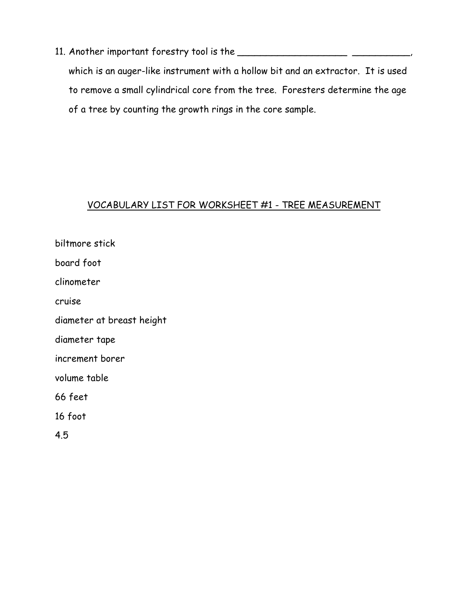11. Another important forestry tool is the \_\_\_\_\_\_\_\_\_\_\_\_\_\_\_\_\_\_\_\_\_\_\_\_\_\_\_\_\_\_\_\_\_,

which is an auger-like instrument with a hollow bit and an extractor. It is used to remove a small cylindrical core from the tree. Foresters determine the age of a tree by counting the growth rings in the core sample.

### VOCABULARY LIST FOR WORKSHEET #1 - TREE MEASUREMENT

biltmore stick board foot clinometer cruise diameter at breast height diameter tape increment borer volume table 66 feet 16 foot 4.5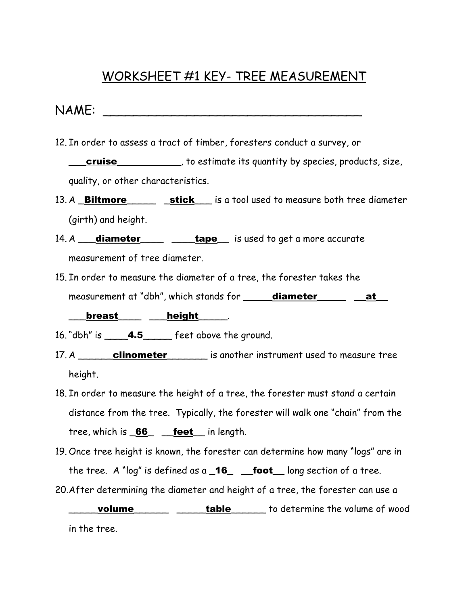## WORKSHEET #1 KEY- TREE MEASUREMENT

NAME: \_\_\_\_\_\_\_\_\_\_\_\_\_\_\_\_\_\_\_\_\_\_\_\_\_\_\_\_\_\_\_\_\_\_

12. In order to assess a tract of timber, foresters conduct a survey, or

**\_\_\_cruise\_\_\_\_\_\_\_\_\_\_\_**, to estimate its quantity by species, products, size, quality, or other characteristics.

- 13. A **Biltmore** stick is a tool used to measure both tree diameter (girth) and height.
- 14. A **diameter** and **tape** is used to get a more accurate measurement of tree diameter.
- 15. In order to measure the diameter of a tree, the forester takes the measurement at "dbh", which stands for **\_\_\_\_\_diameter\_\_\_\_\_ \_\_at\_\_**

\_\_\_breast\_\_\_\_ \_\_\_height\_\_\_\_\_.

16. "dbh" is \_\_\_\_\_4.5\_\_\_\_\_\_ feet above the ground.

- 17. A clinometer is another instrument used to measure tree height.
- 18. In order to measure the height of a tree, the forester must stand a certain distance from the tree. Typically, the forester will walk one "chain" from the tree, which is  $66$  \_ feet in length.
- 19. Once tree height is known, the forester can determine how many "logs" are in the tree. A "log" is defined as  $a_16$  foot long section of a tree.

20. After determining the diameter and height of a tree, the forester can use a

**\_\_\_\_volume\_\_\_\_\_\_\_\_\_\_\_\_\_\_\_\_table\_\_\_\_\_\_\_** to determine the volume of wood in the tree.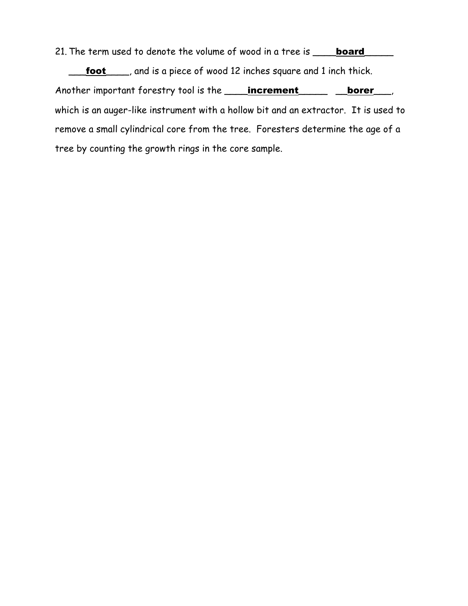21. The term used to denote the volume of wood in a tree is **\_\_\_\_\_board\_\_\_** 

foot \_\_\_, and is a piece of wood 12 inches square and 1 inch thick. Another important forestry tool is the **\_\_\_\_increment** \_\_\_\_\_ borer\_\_\_, which is an auger-like instrument with a hollow bit and an extractor. It is used to remove a small cylindrical core from the tree. Foresters determine the age of a tree by counting the growth rings in the core sample.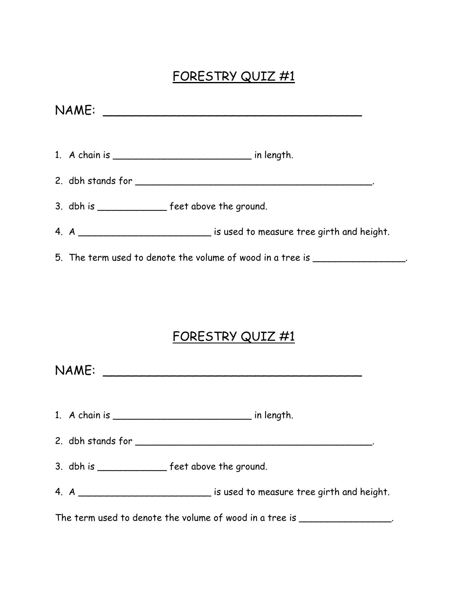# FORESTRY QUIZ #1

|  | 3. dbh is ________________ feet above the ground.                                |  |
|--|----------------------------------------------------------------------------------|--|
|  | 4. A _____________________________ is used to measure tree girth and height.     |  |
|  | 5. The term used to denote the volume of wood in a tree is _____________________ |  |

# FORESTRY QUIZ #1

| NAME: |                                                                                 |
|-------|---------------------------------------------------------------------------------|
|       |                                                                                 |
|       |                                                                                 |
|       | 3. dbh is ________________ feet above the ground.                               |
|       | 4. A ________________________________ is used to measure tree girth and height. |

The term used to denote the volume of wood in a tree is \_\_\_\_\_\_\_\_\_\_\_\_\_\_\_\_\_.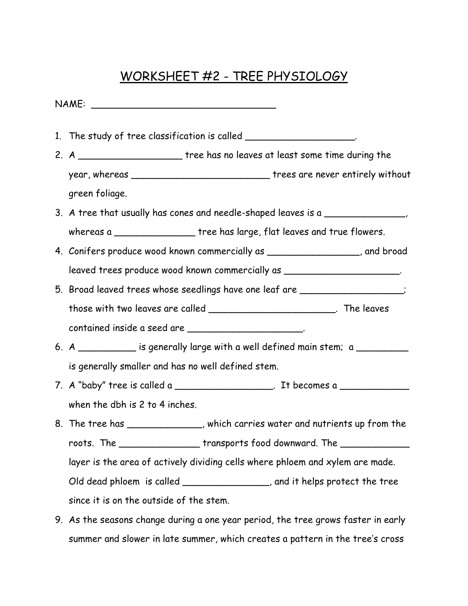## WORKSHEET #2 - TREE PHYSIOLOGY

NAME: \_\_\_\_\_\_\_\_\_\_\_\_\_\_\_\_\_\_\_\_\_\_\_\_\_\_\_\_\_\_\_\_ 1. The study of tree classification is called \_\_\_\_\_\_\_\_\_\_\_\_\_\_\_\_\_\_\_\_\_\_\_. 2. A \_\_\_\_\_\_\_\_\_\_\_\_\_\_\_\_\_\_\_\_\_\_\_ tree has no leaves at least some time during the year, whereas **we are the state of the state of the state of the state of the state of the state of the state of the state of the state of the state of the state of the state of the state of the state of the state of the s** green foliage. 3. A tree that usually has cones and needle-shaped leaves is a \_\_\_\_\_\_\_\_\_\_\_\_\_\_, whereas a \_\_\_\_\_\_\_\_\_\_\_\_\_\_\_\_\_tree has large, flat leaves and true flowers. 4. Conifers produce wood known commercially as \_\_\_\_\_\_\_\_\_\_\_\_\_\_\_\_, and broad leaved trees produce wood known commercially as \_\_\_\_\_\_\_\_\_\_\_\_\_\_\_\_\_\_\_\_. 5. Broad leaved trees whose seedlings have one leaf are \_\_\_\_\_\_\_\_\_\_\_\_\_\_\_\_\_\_; those with two leaves are called \_\_\_\_\_\_\_\_\_\_\_\_\_\_\_\_\_\_\_\_\_\_\_\_\_\_. The leaves contained inside a seed are \_\_\_\_\_\_\_\_\_\_\_\_\_\_\_\_\_\_\_\_\_. 6. A  $\qquad \qquad$  is generally large with a well defined main stem; a  $\qquad \qquad$ is generally smaller and has no well defined stem. 7. A "baby" tree is called a \_\_\_\_\_\_\_\_\_\_\_\_\_\_\_\_\_\_. It becomes a \_\_\_\_\_\_\_\_\_\_\_\_\_\_\_\_\_\_ when the dbh is 2 to 4 inches. 8. The tree has \_\_\_\_\_\_\_\_\_\_\_\_\_, which carries water and nutrients up from the roots. The contraction of transports food downward. The contraction of the contraction of the contraction of the layer is the area of actively dividing cells where phloem and xylem are made. Old dead phloem is called \_\_\_\_\_\_\_\_\_\_\_\_\_\_\_, and it helps protect the tree since it is on the outside of the stem.

9. As the seasons change during a one year period, the tree grows faster in early summer and slower in late summer, which creates a pattern in the tree's cross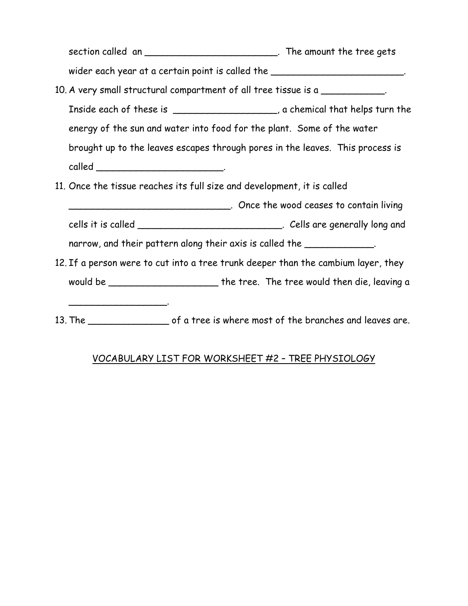section called an \_\_\_\_\_\_\_\_\_\_\_\_\_\_\_\_\_\_\_\_\_\_\_\_\_\_. The amount the tree gets wider each year at a certain point is called the \_\_\_\_\_\_\_\_\_\_\_\_\_\_\_\_\_\_\_\_\_\_\_\_\_.

- 10. A very small structural compartment of all tree tissue is a Inside each of these is \_\_\_\_\_\_\_\_\_\_\_\_\_\_\_\_\_, a chemical that helps turn the energy of the sun and water into food for the plant. Some of the water brought up to the leaves escapes through pores in the leaves. This process is called \_\_\_\_\_\_\_\_\_\_\_\_\_\_\_\_\_\_\_\_\_\_.
- 11. Once the tissue reaches its full size and development, it is called

\_\_\_\_\_\_\_\_\_\_\_\_\_\_\_\_\_.

- \_\_\_\_\_\_\_\_\_\_\_\_\_\_\_\_\_\_\_\_\_\_\_\_\_\_\_\_. Once the wood ceases to contain living
- cells it is called \_\_\_\_\_\_\_\_\_\_\_\_\_\_\_\_\_\_\_\_\_\_\_\_\_\_\_\_\_. Cells are generally long and

narrow, and their pattern along their axis is called the \_\_\_\_\_\_\_\_\_\_\_\_.

- 12. If a person were to cut into a tree trunk deeper than the cambium layer, they would be \_\_\_\_\_\_\_\_\_\_\_\_\_\_\_\_\_\_\_ the tree. The tree would then die, leaving a
- 13. The state of a tree is where most of the branches and leaves are.

### VOCABULARY LIST FOR WORKSHEET #2 – TREE PHYSIOLOGY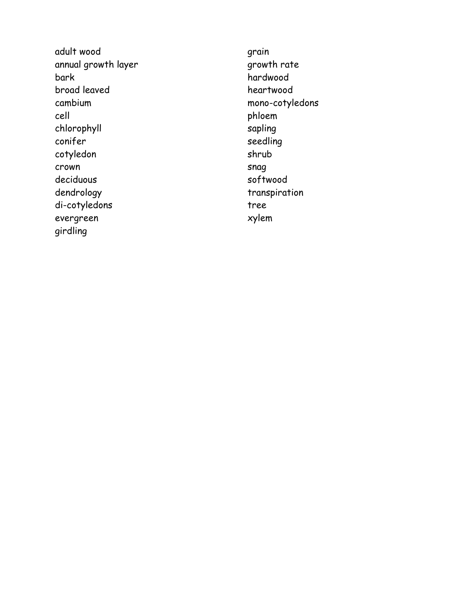adult wood annual growth layer bark broad leaved cambium cell chlorophyll conifer cotyledon crown deciduous dendrology di-cotyledons evergreen girdling

grain growth rate hardwood heartwood mono-cotyledons phloem sapling seedling shrub snag softwood transpiration tree xylem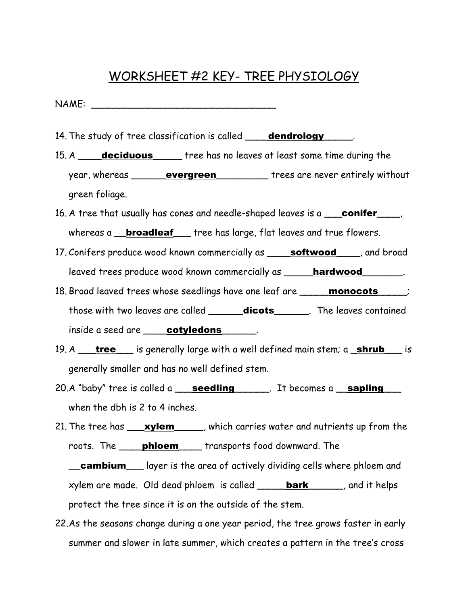### WORKSHEET #2 KEY- TREE PHYSIOLOGY

NAME: \_\_\_\_\_\_\_\_\_\_\_\_\_\_\_\_\_\_\_\_\_\_\_\_\_\_\_\_\_\_\_\_

- 14. The study of tree classification is called **\_\_\_\_dendrology** \_\_\_\_\_.
- 15. A **\_\_\_\_deciduous** \_\_\_\_\_ tree has no leaves at least some time during the year, whereas \_\_\_\_\_\_\_evergreen\_\_\_\_\_\_\_\_\_\_ trees are never entirely without green foliage.
- 16. A tree that usually has cones and needle-shaped leaves is a conifer whereas a **\_\_broadleaf** \_\_\_ tree has large, flat leaves and true flowers.
- 17. Conifers produce wood known commercially as **\_\_\_\_\_softwood** \_\_\_\_, and broad leaved trees produce wood known commercially as **\_\_\_\_\_hardwood\_\_\_\_\_\_\_\_**.
- 18. Broad leaved trees whose seedlings have one leaf are **\_\_\_\_\_monocots**\_\_\_\_; those with two leaves are called \_\_\_\_\_\_dicots\_\_\_\_\_\_. The leaves contained inside a seed are **cotyledons**
- 19. A <u>tree</u> is generally large with a well defined main stem; a **shrub** is generally smaller and has no well defined stem.
- 20.A "baby" tree is called a <u>seedling</u> Fit becomes a sapling when the dbh is 2 to 4 inches.
- 21. The tree has **\_\_\_\_xylem**\_\_\_\_\_, which carries water and nutrients up from the roots. The **\_\_\_\_ phloem** \_\_\_ transports food downward. The

**cambium\_\_\_** layer is the area of actively dividing cells where phloem and xylem are made. Old dead phloem is called **bark** bark and it helps protect the tree since it is on the outside of the stem.

22. As the seasons change during a one year period, the tree grows faster in early summer and slower in late summer, which creates a pattern in the tree's cross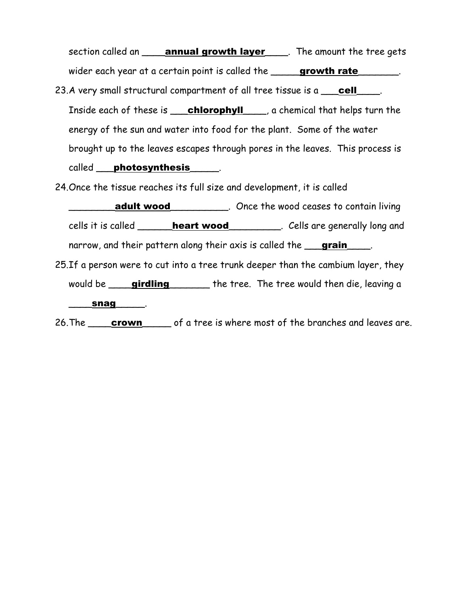section called an **\_\_\_\_annual growth layer** \_\_\_\_. The amount the tree gets wider each year at a certain point is called the **growth rate** 

23. A very small structural compartment of all tree tissue is a <u>cell</u> Inside each of these is **chlorophyll** ga chemical that helps turn the energy of the sun and water into food for the plant. Some of the water brought up to the leaves escapes through pores in the leaves. This process is called **photosynthesis** 

24. Once the tissue reaches its full size and development, it is called

**adult wood\_\_\_\_\_\_\_\_\_\_**. Once the wood ceases to contain living cells it is called **\_\_\_\_\_\_heart wood** cells are generally long and narrow, and their pattern along their axis is called the **grain** 

25. If a person were to cut into a tree trunk deeper than the cambium layer, they would be **\_\_\_\_girdling** \_\_\_\_\_\_\_ the tree. The tree would then die, leaving a

\_\_\_\_\_\_snag\_\_\_\_\_\_<sub>.</sub>

26. The <u>crown</u> of a tree is where most of the branches and leaves are.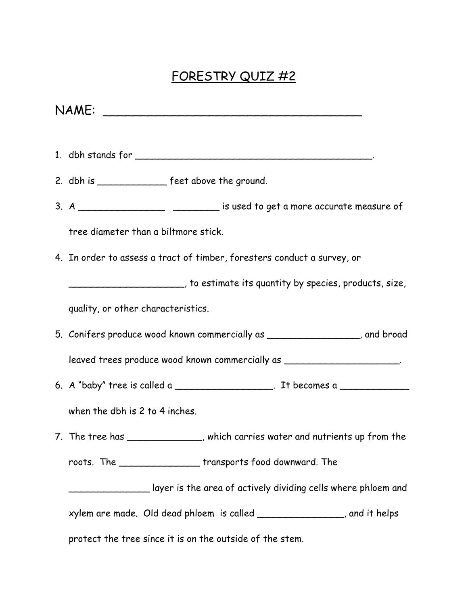# FORESTRY QUIZ #2

NAME: \_\_\_\_\_\_\_\_\_\_\_\_\_\_\_\_\_\_\_\_\_\_\_\_\_\_\_\_\_\_\_\_\_\_

- 1. dbh stands for \_\_\_\_\_\_\_\_\_\_\_\_\_\_\_\_\_\_\_\_\_\_\_\_\_\_\_\_\_\_\_\_\_\_\_\_\_\_\_\_\_.
- 2. dbh is \_\_\_\_\_\_\_\_\_\_\_\_\_\_\_ feet above the ground.
- 3. A \_\_\_\_\_\_\_\_\_\_\_\_\_\_\_\_\_\_\_\_\_\_\_\_\_\_\_\_ is used to get a more accurate measure of

tree diameter than a biltmore stick.

4. In order to assess a tract of timber, foresters conduct a survey, or

\_\_\_\_\_\_\_\_\_\_\_\_\_\_\_\_\_\_\_\_, to estimate its quantity by species, products, size,

quality, or other characteristics.

5. Conifers produce wood known commercially as \_\_\_\_\_\_\_\_\_\_\_\_\_\_\_\_, and broad

leaved trees produce wood known commercially as \_\_\_\_\_\_\_\_\_\_\_\_\_\_\_\_\_\_\_\_\_.

6. A "baby" tree is called a \_\_\_\_\_\_\_\_\_\_\_\_\_\_\_\_\_. It becomes a \_\_\_\_\_\_\_\_\_\_\_\_\_\_\_\_\_\_\_

when the dbh is 2 to 4 inches.

7. The tree has \_\_\_\_\_\_\_\_\_\_\_\_\_, which carries water and nutrients up from the

roots. The \_\_\_\_\_\_\_\_\_\_\_\_\_\_ transports food downward. The

\_\_\_\_\_\_\_\_\_\_\_\_\_\_ layer is the area of actively dividing cells where phloem and

xylem are made. Old dead phloem is called \_\_\_\_\_\_\_\_\_\_\_\_\_\_\_, and it helps

protect the tree since it is on the outside of the stem.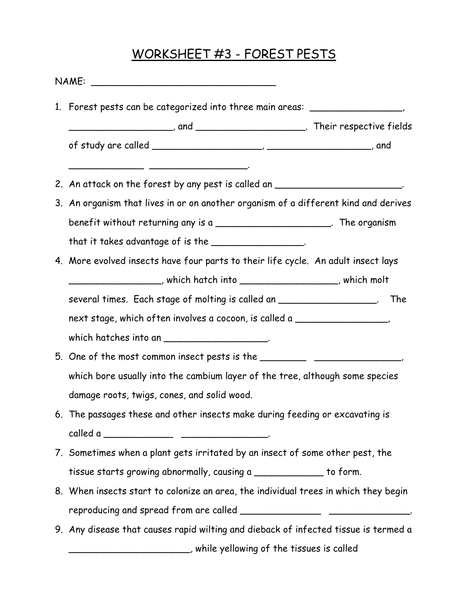# WORKSHEET #3 - FOREST PESTS

| 1. Forest pests can be categorized into three main areas: ______________________     |  |  |
|--------------------------------------------------------------------------------------|--|--|
|                                                                                      |  |  |
| 2. An attack on the forest by any pest is called an __________________________.      |  |  |
| 3. An organism that lives in or on another organism of a different kind and derives  |  |  |
| benefit without returning any is a ________________________. The organism            |  |  |
| that it takes advantage of is the $\_\_\_\_\_\_\_\_\_\_\_\_\_\_\_\_\_\_\_$ .         |  |  |
| 4. More evolved insects have four parts to their life cycle. An adult insect lays    |  |  |
| __________________________, which hatch into ___________________________, which molt |  |  |
| several times. Each stage of molting is called an __________________. The            |  |  |
| next stage, which often involves a cocoon, is called a _________________________     |  |  |
| which hatches into an $\frac{1}{1}$                                                  |  |  |
| 5. One of the most common insect pests is the __________________________________     |  |  |
| which bore usually into the cambium layer of the tree, although some species         |  |  |
| damage roots, twigs, cones, and solid wood.                                          |  |  |
| 6. The passages these and other insects make during feeding or excavating is         |  |  |
|                                                                                      |  |  |
| 7. Sometimes when a plant gets irritated by an insect of some other pest, the        |  |  |
| tissue starts growing abnormally, causing a _____________ to form.                   |  |  |
| 8. When insects start to colonize an area, the individual trees in which they begin  |  |  |
|                                                                                      |  |  |
| 9. Any disease that causes rapid wilting and dieback of infected tissue is termed a  |  |  |
| ___________________________, while yellowing of the tissues is called                |  |  |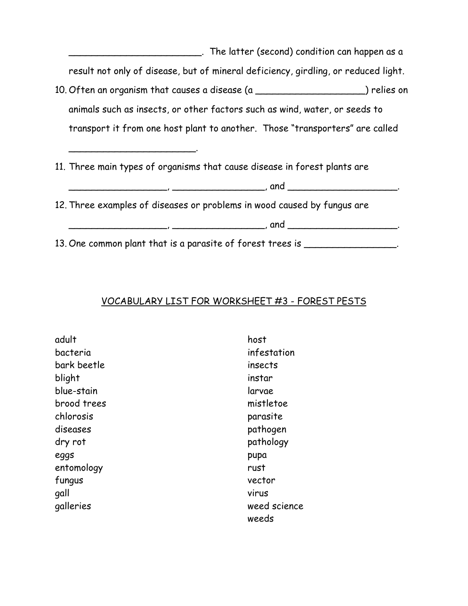| . The latter (second) condition can happen as a                                    |
|------------------------------------------------------------------------------------|
| result not only of disease, but of mineral deficiency, girdling, or reduced light. |
| 10. Often an organism that causes a disease (a _____________________) relies on    |
| animals such as insects, or other factors such as wind, water, or seeds to         |
| transport it from one host plant to another. Those "transporters" are called       |
|                                                                                    |
| 11. Three main types of organisms that cause disease in forest plants are          |
|                                                                                    |
| 12. Three examples of diseases or problems in wood caused by fungus are            |
| <u> 1980 - Jan Barnett, martin de ferroar (h. 1980)</u>                            |
| 13. One common plant that is a parasite of forest trees is ______                  |

#### VOCABULARY LIST FOR WORKSHEET #3 - FOREST PESTS

adult bacteria bark beetle blight blue-stain brood trees chlorosis diseases dry rot eggs entomology fungus gall galleries

host infestation insects instar larvae mistletoe parasite pathogen pathology pupa rust vector virus weed science weeds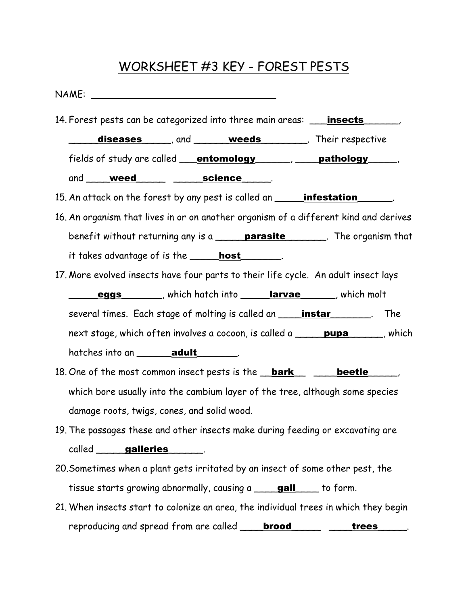# WORKSHEET #3 KEY - FOREST PESTS

| 14. Forest pests can be categorized into three main areas: _____________________,       |  |  |
|-----------------------------------------------------------------------------------------|--|--|
| diseases and weeds Their respective                                                     |  |  |
| fields of study are called <u>entomology</u> pathology pathology                        |  |  |
| and <u>weed science</u>                                                                 |  |  |
| 15. An attack on the forest by any pest is called an <b>______ infestation</b> _______. |  |  |
| 16. An organism that lives in or on another organism of a different kind and derives    |  |  |
| benefit without returning any is a <b>parasite</b> The organism that                    |  |  |
| it takes advantage of is the <b>______host</b> ________.                                |  |  |
| 17. More evolved insects have four parts to their life cycle. An adult insect lays      |  |  |
| eggs _______, which hatch into _________________________, which molt                    |  |  |
| several times. Each stage of molting is called an <b>____________________</b> .<br>The  |  |  |
|                                                                                         |  |  |
| next stage, which often involves a cocoon, is called a <b>pupa</b> , which              |  |  |
|                                                                                         |  |  |
| 18. One of the most common insect pests is the <b>bark</b> beetle                       |  |  |
| which bore usually into the cambium layer of the tree, although some species            |  |  |
| damage roots, twigs, cones, and solid wood.                                             |  |  |
| 19. The passages these and other insects make during feeding or excavating are          |  |  |
| called _____ galleries                                                                  |  |  |
| 20. Sometimes when a plant gets irritated by an insect of some other pest, the          |  |  |
| tissue starts growing abnormally, causing a <b>gall</b> to form.                        |  |  |

reproducing and spread from are called **\_\_\_\_brood\_\_\_\_\_\_** \_\_\_\_trees\_\_\_\_\_.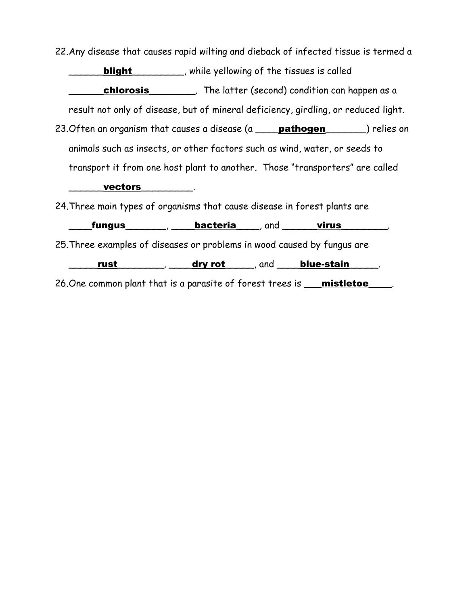22. Any disease that causes rapid wilting and dieback of infected tissue is termed a

**blight** \_\_\_\_\_\_\_, while yellowing of the tissues is called chlorosis\_\_\_\_\_\_\_\_\_\_\_. The latter (second) condition can happen as a result not only of disease, but of mineral deficiency, girdling, or reduced light. 23. Often an organism that causes a disease (a pathogen ) relies on animals such as insects, or other factors such as wind, water, or seeds to transport it from one host plant to another. Those "transporters" are called \_\_\_\_\_\_vectors\_\_\_\_\_\_\_\_\_. 24. Three main types of organisms that cause disease in forest plants are  $\frac{1}{\sqrt{2\pi}}$  fungus \_\_\_\_\_\_\_, \_\_\_\_\_bacteria \_\_\_\_\_, and \_\_\_\_\_\_\_virus \_\_\_\_\_\_\_\_. 25. Three examples of diseases or problems in wood caused by fungus are  $\frac{rust$  \_\_\_\_\_\_\_\_, \_\_\_\_\_dry rot \_\_\_\_\_, and \_\_\_\_\_blue-stain \_\_\_\_\_.

26. One common plant that is a parasite of forest trees is **\_\_\_mistletoe**\_\_\_\_\_.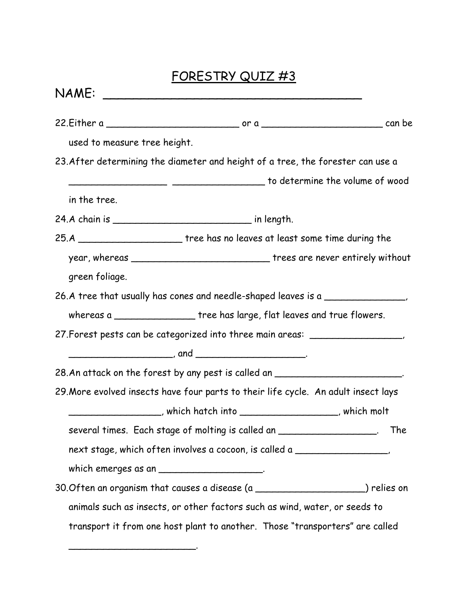# FORESTRY QUIZ #3

| NAME:          |                                                                                              |     |
|----------------|----------------------------------------------------------------------------------------------|-----|
|                |                                                                                              |     |
|                | used to measure tree height.                                                                 |     |
|                | 23. After determining the diameter and height of a tree, the forester can use a              |     |
|                | to determine the volume of wood ( ) and ( ) are continuously to determine the volume of wood |     |
| in the tree.   |                                                                                              |     |
|                | 24.A chain is ________________________________ in length.                                    |     |
|                | 25.A __________________________tree has no leaves at least some time during the              |     |
|                | year, whereas _________________________________ trees are never entirely without             |     |
| green foliage. |                                                                                              |     |
|                | 26.A tree that usually has cones and needle-shaped leaves is a ________________,             |     |
|                | whereas a _________________ tree has large, flat leaves and true flowers.                    |     |
|                | 27. Forest pests can be categorized into three main areas: www.community.com                 |     |
|                |                                                                                              |     |
|                | 28.An attack on the forest by any pest is called an _________________________.               |     |
|                | 29. More evolved insects have four parts to their life cycle. An adult insect lays           |     |
|                | ______________________, which hatch into ___________________________, which molt             |     |
|                | several times. Each stage of molting is called an ___________________.                       | The |
|                | next stage, which often involves a cocoon, is called a _________________________             |     |
|                | which emerges as an ______________________.                                                  |     |
|                | 30. Often an organism that causes a disease (a ______________________) relies on             |     |
|                | animals such as insects, or other factors such as wind, water, or seeds to                   |     |
|                | transport it from one host plant to another. Those "transporters" are called                 |     |

\_\_\_\_\_\_\_\_\_\_\_\_\_\_\_\_\_\_\_\_\_\_.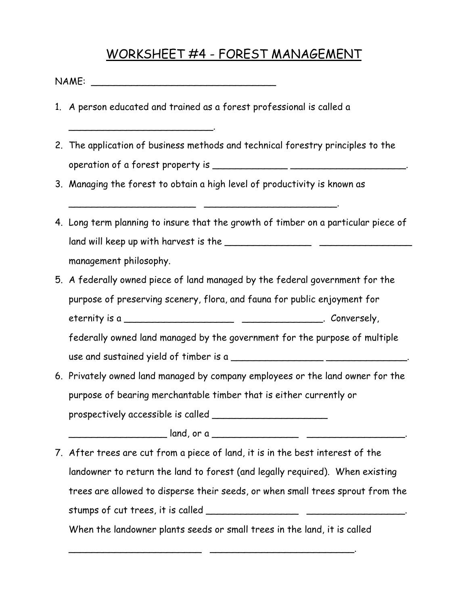### WORKSHEET #4 - FOREST MANAGEMENT

| NAME: |  |
|-------|--|
|-------|--|

\_\_\_\_\_\_\_\_\_\_\_\_\_\_\_\_\_\_\_\_\_\_\_\_\_.

- 1. A person educated and trained as a forest professional is called a
- 2. The application of business methods and technical forestry principles to the operation of a forest property is \_\_\_\_\_\_\_\_\_\_\_\_\_ \_\_\_\_\_\_\_\_\_\_\_\_\_\_\_\_\_\_\_\_.
- 3. Managing the forest to obtain a high level of productivity is known as

\_\_\_\_\_\_\_\_\_\_\_\_\_\_\_\_\_\_\_\_\_\_ \_\_\_\_\_\_\_\_\_\_\_\_\_\_\_\_\_\_\_\_\_\_\_.

- 4. Long term planning to insure that the growth of timber on a particular piece of land will keep up with harvest is the \_\_\_\_\_\_\_\_\_\_\_\_\_\_\_ \_\_\_\_\_\_\_\_\_\_\_\_\_\_\_\_ management philosophy.
- 5. A federally owned piece of land managed by the federal government for the purpose of preserving scenery, flora, and fauna for public enjoyment for eternity is a \_\_\_\_\_\_\_\_\_\_\_\_\_\_\_\_\_\_\_ \_\_\_\_\_\_\_\_\_\_\_\_\_\_. Conversely, federally owned land managed by the government for the purpose of multiple use and sustained yield of timber is a \_\_\_\_\_\_\_\_\_\_\_\_\_\_\_\_ \_\_\_\_\_\_\_\_\_\_\_\_\_\_.
- 6. Privately owned land managed by company employees or the land owner for the purpose of bearing merchantable timber that is either currently or prospectively accessible is called \_\_\_\_\_\_\_\_\_\_\_\_\_\_\_\_\_\_\_\_

\_\_\_\_\_\_\_\_\_\_\_\_\_\_\_\_\_ land, or a \_\_\_\_\_\_\_\_\_\_\_\_\_\_\_ \_\_\_\_\_\_\_\_\_\_\_\_\_\_\_\_\_.

7. After trees are cut from a piece of land, it is in the best interest of the landowner to return the land to forest (and legally required). When existing trees are allowed to disperse their seeds, or when small trees sprout from the stumps of cut trees, it is called \_\_\_\_\_\_\_\_\_\_\_\_\_\_\_\_ \_\_\_\_\_\_\_\_\_\_\_\_\_\_\_\_\_.

When the landowner plants seeds or small trees in the land, it is called

\_\_\_\_\_\_\_\_\_\_\_\_\_\_\_\_\_\_\_\_\_\_\_ \_\_\_\_\_\_\_\_\_\_\_\_\_\_\_\_\_\_\_\_\_\_\_\_\_.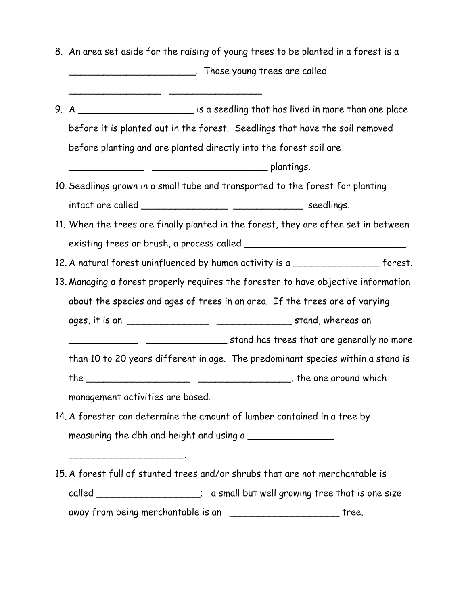8. An area set aside for the raising of young trees to be planted in a forest is a \_\_\_\_\_\_\_\_\_\_\_\_\_\_\_\_\_\_\_\_\_\_. Those young trees are called

 $\overline{\phantom{a}}$  ,  $\overline{\phantom{a}}$  ,  $\overline{\phantom{a}}$  ,  $\overline{\phantom{a}}$  ,  $\overline{\phantom{a}}$  ,  $\overline{\phantom{a}}$  ,  $\overline{\phantom{a}}$  ,  $\overline{\phantom{a}}$  ,  $\overline{\phantom{a}}$  ,  $\overline{\phantom{a}}$  ,  $\overline{\phantom{a}}$  ,  $\overline{\phantom{a}}$  ,  $\overline{\phantom{a}}$  ,  $\overline{\phantom{a}}$  ,  $\overline{\phantom{a}}$  ,  $\overline{\phantom{a}}$ 

9. A \_\_\_\_\_\_\_\_\_\_\_\_\_\_\_\_\_\_\_\_\_\_\_ is a seedling that has lived in more than one place before it is planted out in the forest. Seedlings that have the soil removed before planting and are planted directly into the forest soil are

 $\frac{1}{2}$   $\frac{1}{2}$   $\frac{1}{2}$   $\frac{1}{2}$   $\frac{1}{2}$   $\frac{1}{2}$   $\frac{1}{2}$   $\frac{1}{2}$   $\frac{1}{2}$   $\frac{1}{2}$   $\frac{1}{2}$   $\frac{1}{2}$   $\frac{1}{2}$   $\frac{1}{2}$   $\frac{1}{2}$   $\frac{1}{2}$   $\frac{1}{2}$   $\frac{1}{2}$   $\frac{1}{2}$   $\frac{1}{2}$   $\frac{1}{2}$   $\frac{1}{2}$ 

- 10. Seedlings grown in a small tube and transported to the forest for planting intact are called \_\_\_\_\_\_\_\_\_\_\_\_\_\_\_ \_\_\_\_\_\_\_\_\_\_\_\_ seedlings.
- 11. When the trees are finally planted in the forest, they are often set in between existing trees or brush, a process called \_\_\_\_\_\_\_\_\_\_\_\_\_\_\_\_\_\_\_\_\_\_\_\_\_\_\_\_\_\_\_.
- 12. A natural forest uninfluenced by human activity is a \_\_\_\_\_\_\_\_\_\_\_\_\_\_\_\_\_\_ forest.
- 13. Managing a forest properly requires the forester to have objective information about the species and ages of trees in an area. If the trees are of varying ages, it is an \_\_\_\_\_\_\_\_\_\_\_\_\_\_ \_\_\_\_\_\_\_\_\_\_\_\_\_ stand, whereas an

\_\_\_\_\_\_\_\_\_\_\_\_ \_\_\_\_\_\_\_\_\_\_\_\_\_\_ stand has trees that are generally no more

than 10 to 20 years different in age. The predominant species within a stand is

the \_\_\_\_\_\_\_\_\_\_\_\_\_\_\_\_\_\_ \_\_\_\_\_\_\_\_\_\_\_\_\_\_\_\_, the one around which

management activities are based.

\_\_\_\_\_\_\_\_\_\_\_\_\_\_\_\_\_\_\_\_.

- 14. A forester can determine the amount of lumber contained in a tree by measuring the dbh and height and using a
- 15. A forest full of stunted trees and/or shrubs that are not merchantable is called \_\_\_\_\_\_\_\_\_\_\_\_\_\_\_\_; a small but well growing tree that is one size away from being merchantable is an \_\_\_\_\_\_\_\_\_\_\_\_\_\_\_\_\_\_\_\_\_\_\_\_\_\_ tree.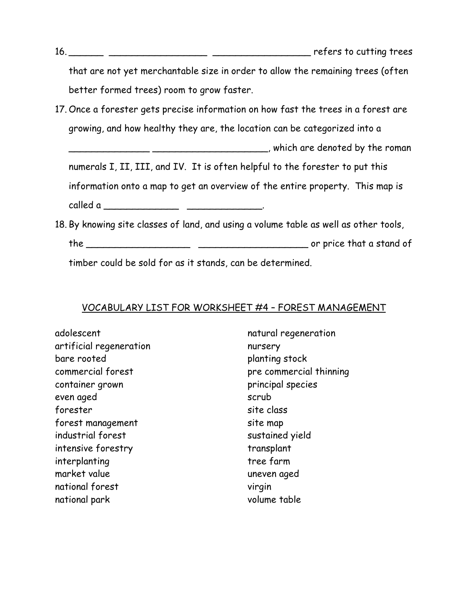that are not yet merchantable size in order to allow the remaining trees (often better formed trees) room to grow faster.

- 17. Once a forester gets precise information on how fast the trees in a forest are growing, and how healthy they are, the location can be categorized into a
	- \_\_\_\_\_\_\_\_\_\_\_\_\_\_ \_\_\_\_\_\_\_\_\_\_\_\_\_\_\_\_\_\_\_\_, which are denoted by the roman

numerals I, II, III, and IV. It is often helpful to the forester to put this information onto a map to get an overview of the entire property. This map is called a \_\_\_\_\_\_\_\_\_\_\_\_\_ \_\_\_\_\_\_\_\_\_\_\_\_\_.

18. By knowing site classes of land, and using a volume table as well as other tools,

the \_\_\_\_\_\_\_\_\_\_\_\_\_\_\_\_\_\_ \_\_\_\_\_\_\_\_\_\_\_\_\_\_\_\_\_\_\_ or price that a stand of

timber could be sold for as it stands, can be determined.

#### VOCABULARY LIST FOR WORKSHEET #4 – FOREST MANAGEMENT

adolescent artificial regeneration bare rooted commercial forest container grown even aged forester forest management industrial forest intensive forestry interplanting market value national forest national park

natural regeneration nursery planting stock pre commercial thinning principal species scrub site class site map sustained yield transplant tree farm uneven aged virgin volume table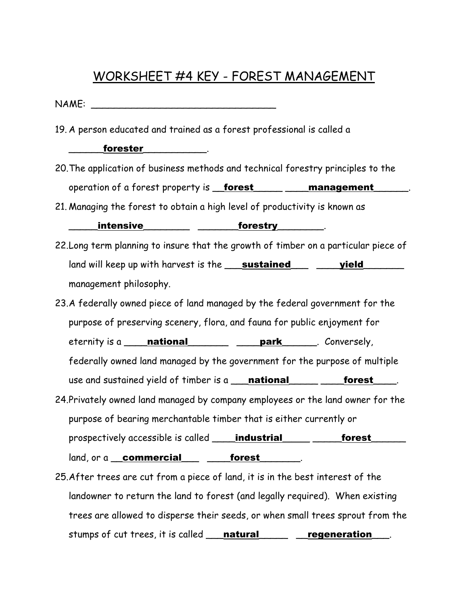## WORKSHEET #4 KEY - FOREST MANAGEMENT

 $NAME:$ 

19. A person educated and trained as a forest professional is called a

\_\_\_\_\_\_forester\_\_\_\_\_\_\_\_\_\_\_.

- 20. The application of business methods and technical forestry principles to the operation of a forest property is **forest** \_\_\_\_\_ \_\_\_ management
- 21. Managing the forest to obtain a high level of productivity is known as

#### intensive the state of the state of the state  $\sim$

- 22. Long term planning to insure that the growth of timber on a particular piece of land will keep up with harvest is the **\_\_\_sustained\_\_\_ \_\_\_\_yield\_\_\_\_\_\_** management philosophy.
- 23. A federally owned piece of land managed by the federal government for the purpose of preserving scenery, flora, and fauna for public enjoyment for eternity is a **\_\_\_\_national\_\_\_\_\_\_\_\_\_ \_\_\_\_park\_\_\_\_\_\_**. Conversely, federally owned land managed by the government for the purpose of multiple use and sustained yield of timber is a **\_\_\_national** \_\_\_\_\_\_\_\_\_\_**forest** \_\_\_\_. 24. Privately owned land managed by company employees or the land owner for the purpose of bearing merchantable timber that is either currently or

prospectively accessible is called **\_\_\_\_industrial** \_\_\_\_\_\_\_\_\_forest\_\_\_\_\_\_ land, or a commercial forest

25. After trees are cut from a piece of land, it is in the best interest of the landowner to return the land to forest (and legally required). When existing trees are allowed to disperse their seeds, or when small trees sprout from the stumps of cut trees, it is called **natural** regeneration ...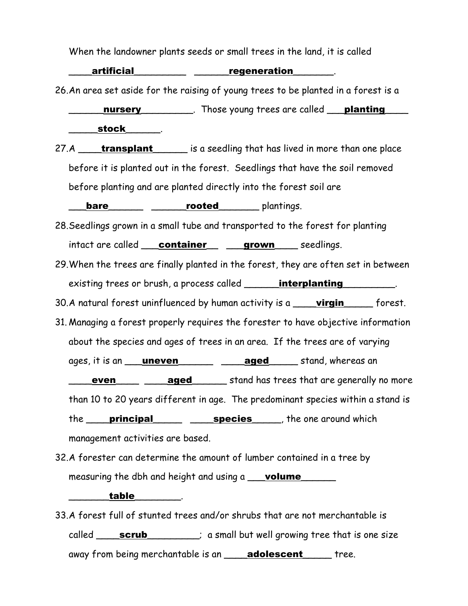When the landowner plants seeds or small trees in the land, it is called

\_artificial\_\_\_\_\_\_\_\_\_\_\_\_ \_\_\_\_\_\_\_\_regeneration\_\_\_\_\_\_\_.

26. An area set aside for the raising of young trees to be planted in a forest is a

**\_\_\_\_\_\_\_nursery\_\_\_\_\_\_\_\_\_\_**. Those young trees are called **\_\_\_planting** \_\_\_\_ \_\_\_\_\_stock\_\_\_\_\_\_.

27.A **\_\_\_\_\_transplant** \_\_\_\_\_\_ is a seedling that has lived in more than one place before it is planted out in the forest. Seedlings that have the soil removed before planting and are planted directly into the forest soil are

**bare\_\_\_\_\_\_\_\_\_ \_\_\_\_\_\_\_rooted\_\_\_\_\_\_\_\_** plantings.

- 28. Seedlings grown in a small tube and transported to the forest for planting intact are called **container** \_\_**\_\_grown** \_\_\_\_ seedlings.
- 29. When the trees are finally planted in the forest, they are often set in between existing trees or brush, a process called **interplanting**
- 30. A natural forest uninfluenced by human activity is a **\_\_\_\_virgin** \_\_\_\_\_ forest.
- 31. Managing a forest properly requires the forester to have objective information about the species and ages of trees in an area. If the trees are of varying ages, it is an **\_\_\_uneven\_\_\_\_\_\_\_ \_\_\_\_\_\_ aged** \_\_\_\_\_ stand, whereas an **even even aged** stand has trees that are generally no more than 10 to 20 years different in age. The predominant species within a stand is the **principal \_\_\_\_\_\_\_\_\_\_\_\_\_\_\_\_\_\_\_\_\_\_\_\_\_\_\_\_\_\_\_\_**, the one around which management activities are based.
- 32. A forester can determine the amount of lumber contained in a tree by measuring the dbh and height and using a **\_\_\_volume**

#### \_\_\_\_\_\_\_table\_\_\_\_\_\_\_\_.

33. A forest full of stunted trees and/or shrubs that are not merchantable is called **\_\_\_\_\_scrub** \_\_\_\_\_\_\_; a small but well growing tree that is one size away from being merchantable is an **adolescent** ree.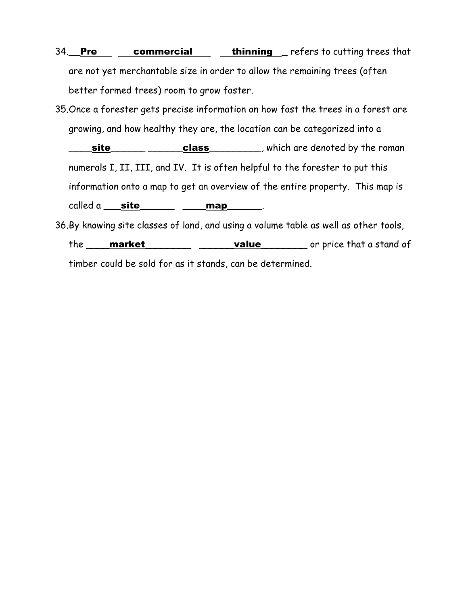- 34. Pre commercial thinning refers to cutting trees that are not yet merchantable size in order to allow the remaining trees (often better formed trees) room to grow faster.
- 35. Once a forester gets precise information on how fast the trees in a forest are growing, and how healthy they are, the location can be categorized into a  $\textsf{site}\_\textsf{max}\_\textsf{class}\_\textsf{max}$ , which are denoted by the roman numerals I, II, III, and IV. It is often helpful to the forester to put this information onto a map to get an overview of the entire property. This map is called a  $\_$ site $\_$   $\_$   $\_$   $\_$   $\_$   $\_$   $\_$ .
- 36. By knowing site classes of land, and using a volume table as well as other tools, the **market** must resolve that a stand of timber could be sold for as it stands, can be determined.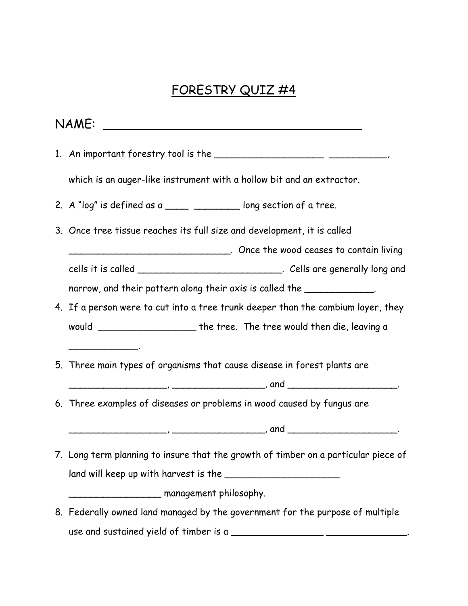# FORESTRY QUIZ #4

|  | which is an auger-like instrument with a hollow bit and an extractor.                                                                                                                                                                |  |
|--|--------------------------------------------------------------------------------------------------------------------------------------------------------------------------------------------------------------------------------------|--|
|  | 2. A "log" is defined as a _____ __________ long section of a tree.                                                                                                                                                                  |  |
|  | 3. Once tree tissue reaches its full size and development, it is called                                                                                                                                                              |  |
|  |                                                                                                                                                                                                                                      |  |
|  | cells it is called ______________________________. Cells are generally long and                                                                                                                                                      |  |
|  | narrow, and their pattern along their axis is called the _____________.                                                                                                                                                              |  |
|  | 4. If a person were to cut into a tree trunk deeper than the cambium layer, they                                                                                                                                                     |  |
|  | would __________________________the tree. The tree would then die, leaving a                                                                                                                                                         |  |
|  | <u> 1989 - Johann Barbara, martin a</u><br>5. Three main types of organisms that cause disease in forest plants are                                                                                                                  |  |
|  | 6. Three examples of diseases or problems in wood caused by fungus are                                                                                                                                                               |  |
|  | <u>entitive and the contract of the contract of the contract of the contract of the contract of the contract of the contract of the contract of the contract of the contract of the contract of the contract of the contract of </u> |  |
|  | 7. Long term planning to insure that the growth of timber on a particular piece of                                                                                                                                                   |  |
|  |                                                                                                                                                                                                                                      |  |
|  | management philosophy.                                                                                                                                                                                                               |  |
|  | 8. Federally owned land managed by the government for the purpose of multiple                                                                                                                                                        |  |
|  |                                                                                                                                                                                                                                      |  |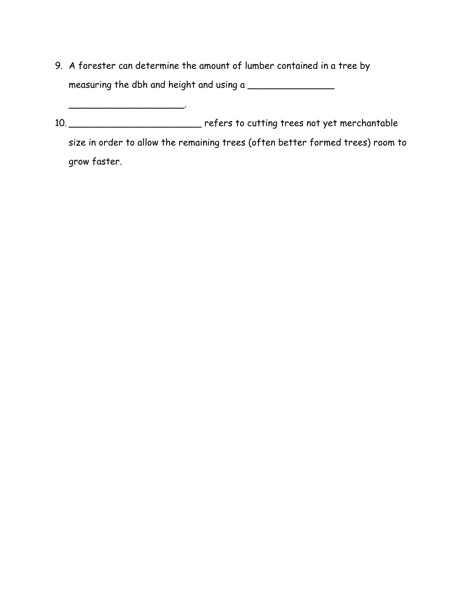9. A forester can determine the amount of lumber contained in a tree by measuring the dbh and height and using a \_\_\_\_\_\_\_\_\_\_\_\_\_\_\_

10. \_\_\_\_\_\_\_\_\_\_\_\_\_\_\_\_\_\_\_\_\_\_\_\_\_\_\_\_\_ refers to cutting trees not yet merchantable size in order to allow the remaining trees (often better formed trees) room to grow faster.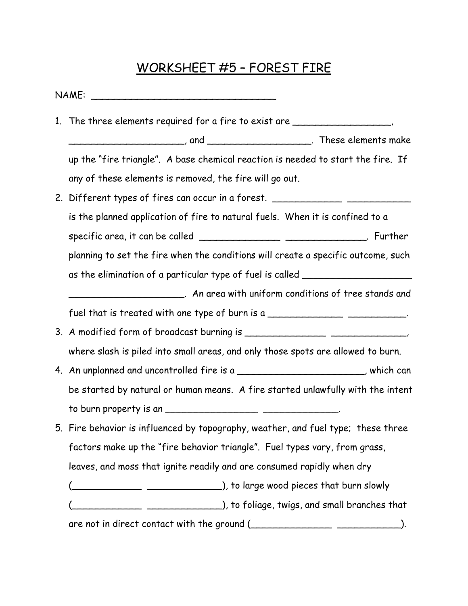# WORKSHEET #5 – FOREST FIRE

| 1. The three elements required for a fire to exist are _________________________  |
|-----------------------------------------------------------------------------------|
|                                                                                   |
| up the "fire triangle". A base chemical reaction is needed to start the fire. If  |
| any of these elements is removed, the fire will go out.                           |
| 2. Different types of fires can occur in a forest. _____________________________  |
| is the planned application of fire to natural fuels. When it is confined to a     |
| specific area, it can be called _________________ ________________. Further       |
| planning to set the fire when the conditions will create a specific outcome, such |
| as the elimination of a particular type of fuel is called ______________________  |
| __________________________. An area with uniform conditions of tree stands and    |
| fuel that is treated with one type of burn is a ______________________________.   |
|                                                                                   |
| where slash is piled into small areas, and only those spots are allowed to burn.  |
| 4. An unplanned and uncontrolled fire is a _______________________, which can     |
| be started by natural or human means. A fire started unlawfully with the intent   |
|                                                                                   |
| 5. Fire behavior is influenced by topography, weather, and fuel type; these three |
| factors make up the "fire behavior triangle". Fuel types vary, from grass,        |
| leaves, and moss that ignite readily and are consumed rapidly when dry            |
|                                                                                   |
|                                                                                   |
|                                                                                   |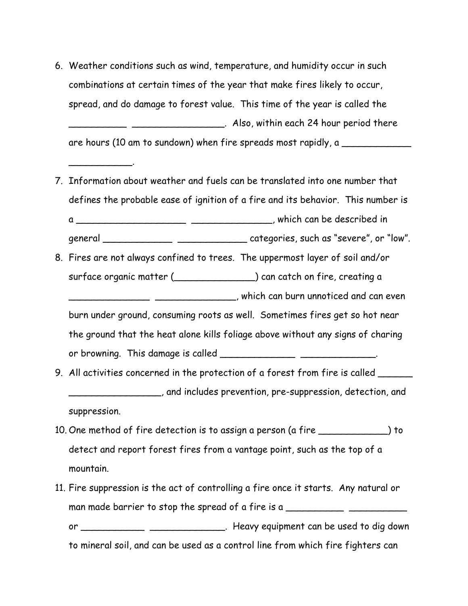6. Weather conditions such as wind, temperature, and humidity occur in such combinations at certain times of the year that make fires likely to occur, spread, and do damage to forest value. This time of the year is called the \_\_\_\_\_\_\_\_\_\_ \_\_\_\_\_\_\_\_\_\_\_\_\_\_\_\_. Also, within each 24 hour period there are hours (10 am to sundown) when fire spreads most rapidly, a

\_\_\_\_\_\_\_\_\_\_\_.

- 7. Information about weather and fuels can be translated into one number that defines the probable ease of ignition of a fire and its behavior. This number is a \_\_\_\_\_\_\_\_\_\_\_\_\_\_\_\_\_\_\_ \_\_\_\_\_\_\_\_\_\_\_\_\_\_, which can be described in general \_\_\_\_\_\_\_\_\_\_\_\_ \_\_\_\_\_\_\_\_\_\_\_\_ categories, such as "severe", or "low".
- 8. Fires are not always confined to trees. The uppermost layer of soil and/or surface organic matter (\_\_\_\_\_\_\_\_\_\_\_\_\_\_) can catch on fire, creating a \_\_\_\_\_\_\_\_\_\_\_\_\_\_ \_\_\_\_\_\_\_\_\_\_\_\_\_\_, which can burn unnoticed and can even burn under ground, consuming roots as well. Sometimes fires get so hot near the ground that the heat alone kills foliage above without any signs of charing or browning. This damage is called \_\_\_\_\_\_\_\_\_\_\_\_\_\_\_\_\_\_\_\_\_\_\_\_\_\_\_\_\_\_\_\_.
- 9. All activities concerned in the protection of a forest from fire is called \_\_\_\_\_\_ \_\_\_\_\_\_\_\_\_\_\_\_\_\_\_\_, and includes prevention, pre-suppression, detection, and suppression.
- 10. One method of fire detection is to assign a person (a fire \_\_\_\_\_\_\_\_\_\_\_\_) to detect and report forest fires from a vantage point, such as the top of a mountain.
- 11. Fire suppression is the act of controlling a fire once it starts. Any natural or man made barrier to stop the spread of a fire is a \_\_\_\_\_\_\_\_\_\_\_\_\_\_\_\_\_\_\_\_\_\_\_\_\_\_\_\_\_ or \_\_\_\_\_\_\_\_\_\_\_\_\_\_\_\_\_\_\_\_\_\_\_\_\_\_\_\_\_\_\_\_. Heavy equipment can be used to dig down to mineral soil, and can be used as a control line from which fire fighters can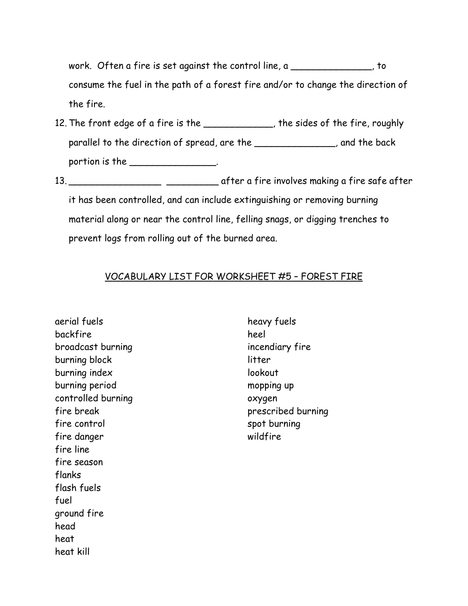work. Often a fire is set against the control line, a which control line, a which control is not in consume the fuel in the path of a forest fire and/or to change the direction of the fire.

- 12. The front edge of a fire is the \_\_\_\_\_\_\_\_\_\_\_\_, the sides of the fire, roughly parallel to the direction of spread, are the **which is a controlled to the back** portion is the \_\_\_\_\_\_\_\_\_\_\_\_\_\_\_\_.
- 13. \_\_\_\_\_\_\_\_\_\_\_\_\_\_\_\_ \_\_\_\_\_\_\_\_\_ after a fire involves making a fire safe after it has been controlled, and can include extinguishing or removing burning material along or near the control line, felling snags, or digging trenches to prevent logs from rolling out of the burned area.

#### VOCABULARY LIST FOR WORKSHEET #5 – FOREST FIRE

aerial fuels backfire broadcast burning burning block burning index burning period controlled burning fire break fire control fire danger fire line fire season flanks flash fuels fuel ground fire head heat heat kill

heavy fuels heel incendiary fire litter lookout mopping up oxygen prescribed burning spot burning wildfire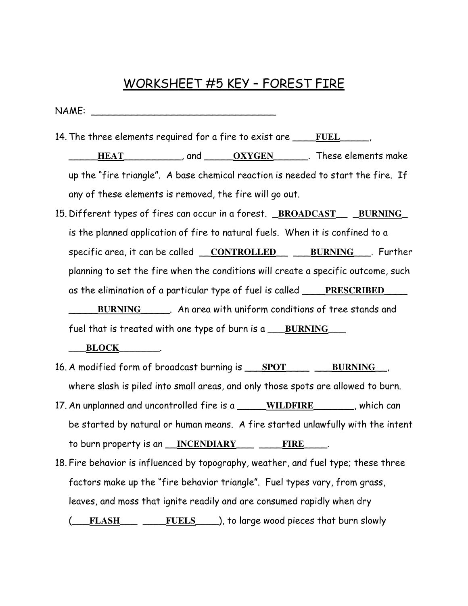### WORKSHEET #5 KEY – FOREST FIRE

NAME: \_\_\_\_\_\_\_\_\_\_\_\_\_\_\_\_\_\_\_\_\_\_\_\_\_\_\_\_\_\_\_\_

14. The three elements required for a fire to exist are \_\_\_\_**FUEL**\_\_\_\_\_, \_\_\_\_\_**HEAT**\_\_\_\_\_\_\_\_\_\_, and \_\_\_\_\_**OXYGEN**\_\_\_\_\_\_. These elements make up the "fire triangle". A base chemical reaction is needed to start the fire. If any of these elements is removed, the fire will go out.

15. Different types of fires can occur in a forest. \_**BROADCAST**\_\_ \_**BURNING**\_ is the planned application of fire to natural fuels. When it is confined to a specific area, it can be called \_\_**CONTROLLED**\_\_ \_\_\_**BURNING**\_\_\_. Further planning to set the fire when the conditions will create a specific outcome, such as the elimination of a particular type of fuel is called \_\_\_\_**PRESCRIBED**\_\_\_\_ \_\_\_\_\_**BURNING**\_\_\_\_\_. An area with uniform conditions of tree stands and fuel that is treated with one type of burn is a \_\_\_**BURNING**\_\_\_

\_\_\_**BLOCK**\_\_\_\_\_\_\_.

- 16. A modified form of broadcast burning is \_\_\_**SPOT**\_\_\_\_ \_\_\_**BURNING**\_\_, where slash is piled into small areas, and only those spots are allowed to burn.
- 17. An unplanned and uncontrolled fire is a \_\_\_\_\_**WILDFIRE**\_\_\_\_\_\_\_, which can be started by natural or human means. A fire started unlawfully with the intent to burn property is an \_\_**INCENDIARY**\_\_\_ \_\_\_\_**FIRE**\_\_\_\_.
- 18. Fire behavior is influenced by topography, weather, and fuel type; these three factors make up the "fire behavior triangle". Fuel types vary, from grass, leaves, and moss that ignite readily and are consumed rapidly when dry (\_\_\_**FLASH**\_\_\_ \_\_\_\_**FUELS**\_\_\_\_), to large wood pieces that burn slowly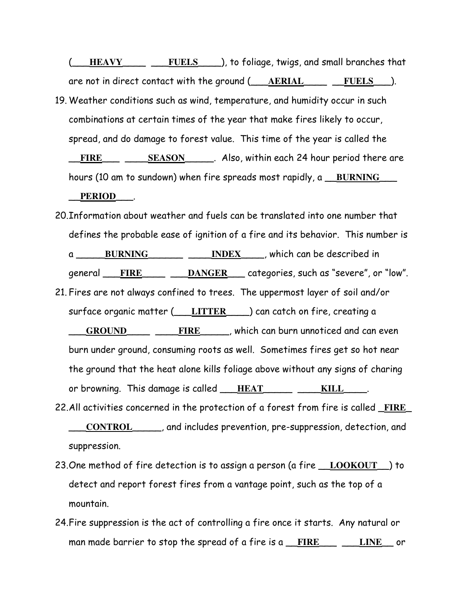(\_\_\_**HEAVY**\_\_\_\_ \_\_\_**FUELS**\_\_\_\_), to foliage, twigs, and small branches that are not in direct contact with the ground (\_\_\_**AERIAL**\_\_\_\_ \_\_**FUELS**\_\_\_).

- 19. Weather conditions such as wind, temperature, and humidity occur in such combinations at certain times of the year that make fires likely to occur, spread, and do damage to forest value. This time of the year is called the FIRE \_\_\_ \_\_\_\_ SEASON \_\_\_\_\_. Also, within each 24 hour period there are hours (10 am to sundown) when fire spreads most rapidly, a \_\_**BURNING**\_\_\_ \_\_**PERIOD**\_\_\_.
- 20. Information about weather and fuels can be translated into one number that defines the probable ease of ignition of a fire and its behavior. This number is a \_\_\_\_\_**BURNING**\_\_\_\_\_\_ \_\_\_\_**INDEX**\_\_\_\_, which can be described in general FIRE DANGER categories, such as "severe", or "low". 21. Fires are not always confined to trees. The uppermost layer of soil and/or surface organic matter (\_\_\_**LITTER**\_\_\_\_) can catch on fire, creating a \_\_\_**GROUND**\_\_\_\_ \_\_\_\_**FIRE**\_\_\_\_\_, which can burn unnoticed and can even burn under ground, consuming roots as well. Sometimes fires get so hot near the ground that the heat alone kills foliage above without any signs of charing or browning. This damage is called \_\_\_**HEAT**\_\_\_\_\_ \_\_\_\_**KILL**\_\_\_\_.
- 22. All activities concerned in the protection of a forest from fire is called \_**FIRE**\_ \_\_\_**CONTROL**\_\_\_\_\_, and includes prevention, pre-suppression, detection, and suppression.
- 23. One method of fire detection is to assign a person (a fire \_\_**LOOKOUT**\_\_) to detect and report forest fires from a vantage point, such as the top of a mountain.
- 24. Fire suppression is the act of controlling a fire once it starts. Any natural or man made barrier to stop the spread of a fire is a \_\_**FIRE**\_\_\_ \_\_\_**LINE**\_\_ or